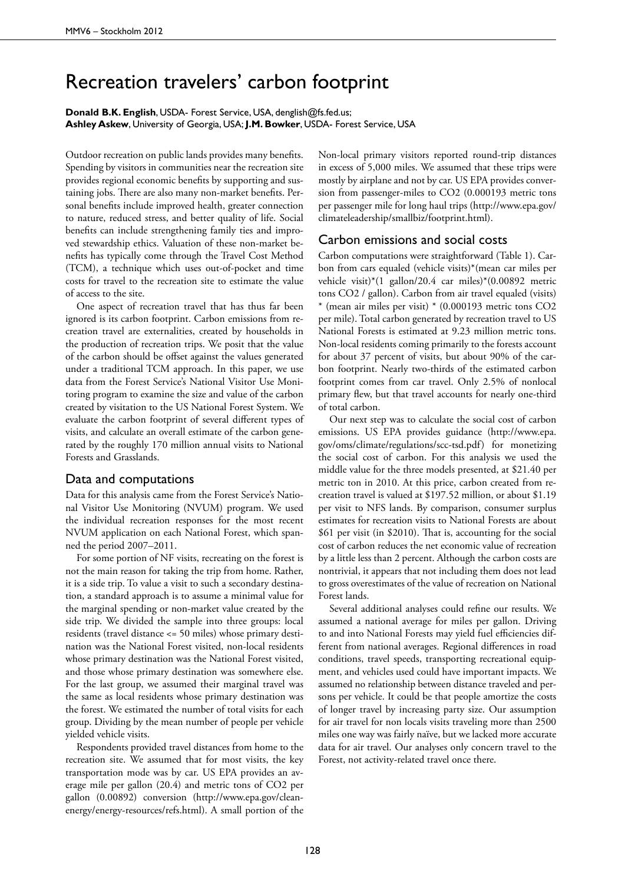## Recreation travelers' carbon footprint

**Donald B.K. English**, USDA- Forest Service, USA, denglish@fs.fed.us; **Ashley Askew**, University of Georgia, USA; **J.M. Bowker**, USDA- Forest Service, USA

Outdoor recreation on public lands provides many benefits. Spending by visitors in communities near the recreation site provides regional economic benefits by supporting and sustaining jobs. There are also many non-market benefits. Personal benefits include improved health, greater connection to nature, reduced stress, and better quality of life. Social benefits can include strengthening family ties and improved stewardship ethics. Valuation of these non-market benefits has typically come through the Travel Cost Method (TCM), a technique which uses out-of-pocket and time costs for travel to the recreation site to estimate the value of access to the site.

One aspect of recreation travel that has thus far been ignored is its carbon footprint. Carbon emissions from recreation travel are externalities, created by households in the production of recreation trips. We posit that the value of the carbon should be offset against the values generated under a traditional TCM approach. In this paper, we use data from the Forest Service's National Visitor Use Monitoring program to examine the size and value of the carbon created by visitation to the US National Forest System. We evaluate the carbon footprint of several different types of visits, and calculate an overall estimate of the carbon generated by the roughly 170 million annual visits to National Forests and Grasslands.

## Data and computations

Data for this analysis came from the Forest Service's National Visitor Use Monitoring (NVUM) program. We used the individual recreation responses for the most recent NVUM application on each National Forest, which spanned the period 2007–2011.

For some portion of NF visits, recreating on the forest is not the main reason for taking the trip from home. Rather, it is a side trip. To value a visit to such a secondary destination, a standard approach is to assume a minimal value for the marginal spending or non-market value created by the side trip. We divided the sample into three groups: local residents (travel distance <= 50 miles) whose primary destination was the National Forest visited, non-local residents whose primary destination was the National Forest visited, and those whose primary destination was somewhere else. For the last group, we assumed their marginal travel was the same as local residents whose primary destination was the forest. We estimated the number of total visits for each group. Dividing by the mean number of people per vehicle yielded vehicle visits.

Respondents provided travel distances from home to the recreation site. We assumed that for most visits, the key transportation mode was by car. US EPA provides an average mile per gallon (20.4) and metric tons of CO2 per gallon (0.00892) conversion (http://www.epa.gov/cleanenergy/energy-resources/refs.html). A small portion of the Non-local primary visitors reported round-trip distances in excess of 5,000 miles. We assumed that these trips were mostly by airplane and not by car. US EPA provides conversion from passenger-miles to CO2 (0.000193 metric tons per passenger mile for long haul trips (http://www.epa.gov/ climateleadership/smallbiz/footprint.html).

## Carbon emissions and social costs

Carbon computations were straightforward (Table 1). Carbon from cars equaled (vehicle visits)\*(mean car miles per vehicle visit)\*(1 gallon/20.4 car miles)\*(0.00892 metric tons CO2 / gallon). Carbon from air travel equaled (visits) (mean air miles per visit)  $*(0.000193$  metric tons CO2 per mile). Total carbon generated by recreation travel to US National Forests is estimated at 9.23 million metric tons. Non-local residents coming primarily to the forests account for about 37 percent of visits, but about 90% of the carbon footprint. Nearly two-thirds of the estimated carbon footprint comes from car travel. Only 2.5% of nonlocal primary flew, but that travel accounts for nearly one-third of total carbon.

Our next step was to calculate the social cost of carbon emissions. US EPA provides guidance (http://www.epa. gov/oms/climate/regulations/scc-tsd.pdf) for monetizing the social cost of carbon. For this analysis we used the middle value for the three models presented, at \$21.40 per metric ton in 2010. At this price, carbon created from recreation travel is valued at \$197.52 million, or about \$1.19 per visit to NFS lands. By comparison, consumer surplus estimates for recreation visits to National Forests are about \$61 per visit (in \$2010). That is, accounting for the social cost of carbon reduces the net economic value of recreation by a little less than 2 percent. Although the carbon costs are nontrivial, it appears that not including them does not lead to gross overestimates of the value of recreation on National Forest lands.

Several additional analyses could refine our results. We assumed a national average for miles per gallon. Driving to and into National Forests may yield fuel efficiencies different from national averages. Regional differences in road conditions, travel speeds, transporting recreational equipment, and vehicles used could have important impacts. We assumed no relationship between distance traveled and persons per vehicle. It could be that people amortize the costs of longer travel by increasing party size. Our assumption for air travel for non locals visits traveling more than 2500 miles one way was fairly naïve, but we lacked more accurate data for air travel. Our analyses only concern travel to the Forest, not activity-related travel once there.